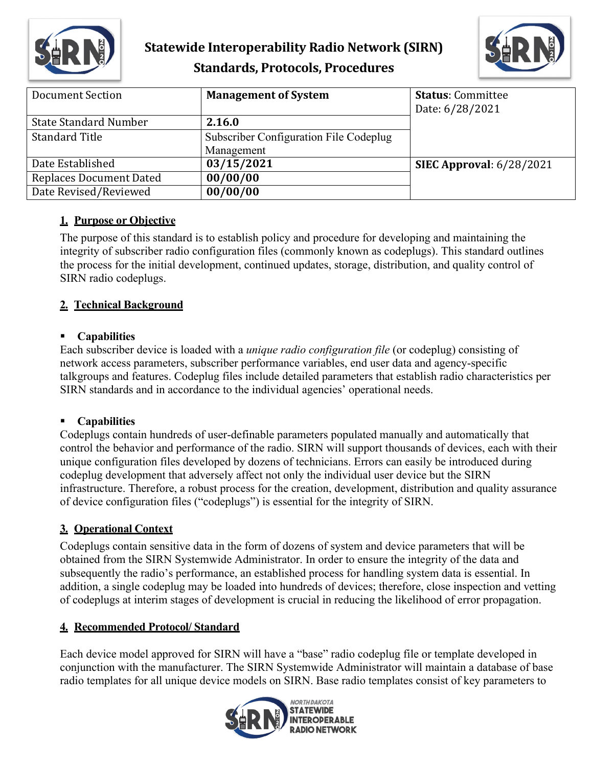

## **Statewide Interoperability Radio Network (SIRN) Standards, Protocols, Procedures**



| Document Section               | <b>Management of System</b>            | <b>Status: Committee</b>        |
|--------------------------------|----------------------------------------|---------------------------------|
|                                |                                        | Date: 6/28/2021                 |
| <b>State Standard Number</b>   | 2.16.0                                 |                                 |
| <b>Standard Title</b>          | Subscriber Configuration File Codeplug |                                 |
|                                | Management                             |                                 |
| Date Established               | 03/15/2021                             | <b>SIEC Approval: 6/28/2021</b> |
| <b>Replaces Document Dated</b> | 00/00/00                               |                                 |
| Date Revised/Reviewed          | 00/00/00                               |                                 |

## **1. Purpose or Objective**

The purpose of this standard is to establish policy and procedure for developing and maintaining the integrity of subscriber radio configuration files (commonly known as codeplugs). This standard outlines the process for the initial development, continued updates, storage, distribution, and quality control of SIRN radio codeplugs.

## **2. Technical Background**

### **Capabilities**

Each subscriber device is loaded with a *unique radio configuration file* (or codeplug) consisting of network access parameters, subscriber performance variables, end user data and agency-specific talkgroups and features. Codeplug files include detailed parameters that establish radio characteristics per SIRN standards and in accordance to the individual agencies' operational needs.

## **Capabilities**

Codeplugs contain hundreds of user-definable parameters populated manually and automatically that control the behavior and performance of the radio. SIRN will support thousands of devices, each with their unique configuration files developed by dozens of technicians. Errors can easily be introduced during codeplug development that adversely affect not only the individual user device but the SIRN infrastructure. Therefore, a robust process for the creation, development, distribution and quality assurance of device configuration files ("codeplugs") is essential for the integrity of SIRN.

## **3. Operational Context**

Codeplugs contain sensitive data in the form of dozens of system and device parameters that will be obtained from the SIRN Systemwide Administrator. In order to ensure the integrity of the data and subsequently the radio's performance, an established process for handling system data is essential. In addition, a single codeplug may be loaded into hundreds of devices; therefore, close inspection and vetting of codeplugs at interim stages of development is crucial in reducing the likelihood of error propagation.

## **4. Recommended Protocol/ Standard**

Each device model approved for SIRN will have a "base" radio codeplug file or template developed in conjunction with the manufacturer. The SIRN Systemwide Administrator will maintain a database of base radio templates for all unique device models on SIRN. Base radio templates consist of key parameters to

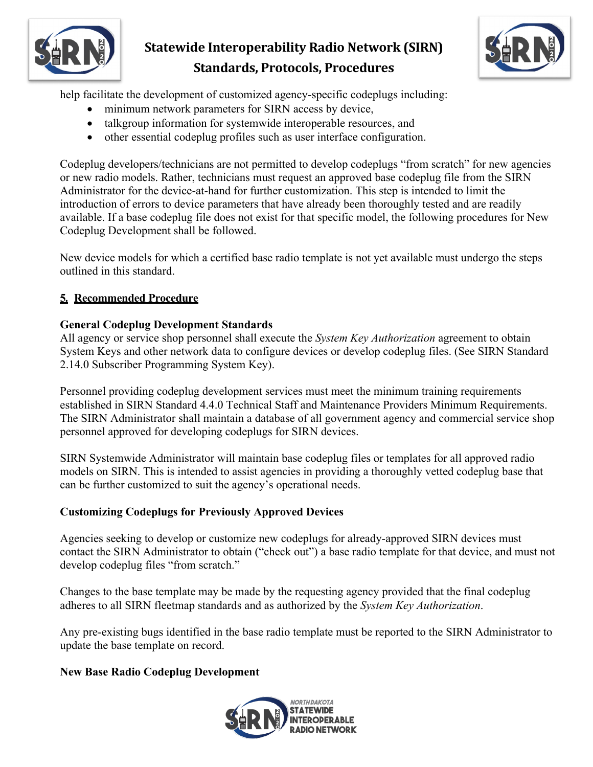

## **Statewide Interoperability Radio Network (SIRN) Standards, Protocols, Procedures**



help facilitate the development of customized agency-specific codeplugs including:

- minimum network parameters for SIRN access by device,
- talkgroup information for systemwide interoperable resources, and
- other essential codeplug profiles such as user interface configuration.

Codeplug developers/technicians are not permitted to develop codeplugs "from scratch" for new agencies or new radio models. Rather, technicians must request an approved base codeplug file from the SIRN Administrator for the device-at-hand for further customization. This step is intended to limit the introduction of errors to device parameters that have already been thoroughly tested and are readily available. If a base codeplug file does not exist for that specific model, the following procedures for New Codeplug Development shall be followed.

New device models for which a certified base radio template is not yet available must undergo the steps outlined in this standard.

### **5. Recommended Procedure**

### **General Codeplug Development Standards**

All agency or service shop personnel shall execute the *System Key Authorization* agreement to obtain System Keys and other network data to configure devices or develop codeplug files. (See SIRN Standard 2.14.0 Subscriber Programming System Key).

Personnel providing codeplug development services must meet the minimum training requirements established in SIRN Standard 4.4.0 Technical Staff and Maintenance Providers Minimum Requirements. The SIRN Administrator shall maintain a database of all government agency and commercial service shop personnel approved for developing codeplugs for SIRN devices.

SIRN Systemwide Administrator will maintain base codeplug files or templates for all approved radio models on SIRN. This is intended to assist agencies in providing a thoroughly vetted codeplug base that can be further customized to suit the agency's operational needs.

### **Customizing Codeplugs for Previously Approved Devices**

Agencies seeking to develop or customize new codeplugs for already-approved SIRN devices must contact the SIRN Administrator to obtain ("check out") a base radio template for that device, and must not develop codeplug files "from scratch."

Changes to the base template may be made by the requesting agency provided that the final codeplug adheres to all SIRN fleetmap standards and as authorized by the *System Key Authorization*.

Any pre-existing bugs identified in the base radio template must be reported to the SIRN Administrator to update the base template on record.

### **New Base Radio Codeplug Development**